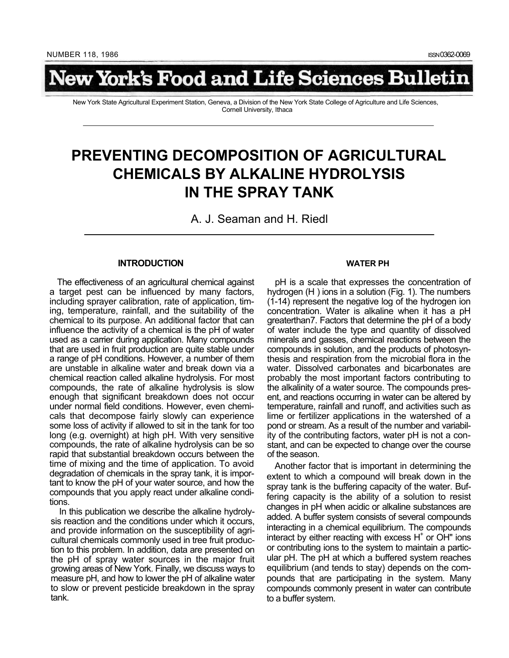# lew York's Food and Life Sciences Bulletin

New York State Agricultural Experiment Station, Geneva, a Division of the New York State College of Agriculture and Life Sciences, Cornell University, Ithaca

## **PREVENTING DECOMPOSITION OF AGRICULTURAL CHEMICALS BY ALKALINE HYDROLYSIS IN THE SPRAY TANK**

A. J. Seaman and H. Riedl

#### **INTRODUCTION**

The effectiveness of an agricultural chemical against a target pest can be influenced by many factors, including sprayer calibration, rate of application, timing, temperature, rainfall, and the suitability of the chemical to its purpose. An additional factor that can influence the activity of a chemical is the pH of water used as a carrier during application. Many compounds that are used in fruit production are quite stable under a range of pH conditions. However, a number of them are unstable in alkaline water and break down via a chemical reaction called alkaline hydrolysis. For most compounds, the rate of alkaline hydrolysis is slow enough that significant breakdown does not occur under normal field conditions. However, even chemicals that decompose fairly slowly can experience some loss of activity if allowed to sit in the tank for too long (e.g. overnight) at high pH. With very sensitive compounds, the rate of alkaline hydrolysis can be so rapid that substantial breakdown occurs between the time of mixing and the time of application. To avoid degradation of chemicals in the spray tank, it is important to know the pH of your water source, and how the compounds that you apply react under alkaline conditions.

In this publication we describe the alkaline hydrolysis reaction and the conditions under which it occurs, and provide information on the susceptibility of agricultural chemicals commonly used in tree fruit production to this problem. In addition, data are presented on the pH of spray water sources in the major fruit growing areas of New York. Finally, we discuss ways to measure pH, and how to lower the pH of alkaline water to slow or prevent pesticide breakdown in the spray tank.

#### **WATER PH**

pH is a scale that expresses the concentration of hydrogen (H ) ions in a solution (Fig. 1). The numbers (1-14) represent the negative log of the hydrogen ion concentration. Water is alkaline when it has a pH greaterthan7. Factors that determine the pH of a body of water include the type and quantity of dissolved minerals and gasses, chemical reactions between the compounds in solution, and the products of photosynthesis and respiration from the microbial flora in the water. Dissolved carbonates and bicarbonates are probably the most important factors contributing to the alkalinity of a water source. The compounds present, and reactions occurring in water can be altered by temperature, rainfall and runoff, and activities such as lime or fertilizer applications in the watershed of a pond or stream. As a result of the number and variability of the contributing factors, water pH is not a constant, and can be expected to change over the course of the season.

Another factor that is important in determining the extent to which a compound will break down in the spray tank is the buffering capacity of the water. Buffering capacity is the ability of a solution to resist changes in pH when acidic or alkaline substances are added. A buffer system consists of several compounds interacting in a chemical equilibrium. The compounds interact by either reacting with excess  $H<sup>+</sup>$  or OH" ions or contributing ions to the system to maintain a particular pH. The pH at which a buffered system reaches equilibrium (and tends to stay) depends on the compounds that are participating in the system. Many compounds commonly present in water can contribute to a buffer system.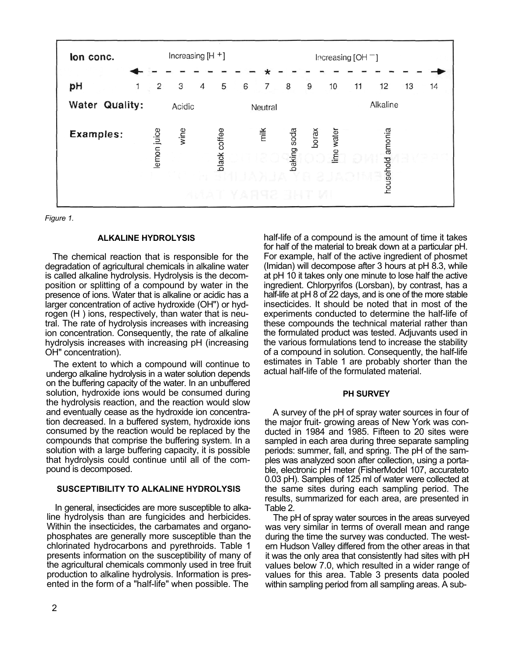

*Figure 1.*

#### **ALKALINE HYDROLYSIS**

The chemical reaction that is responsible for the degradation of agricultural chemicals in alkaline water is called alkaline hydrolysis. Hydrolysis is the decomposition or splitting of a compound by water in the presence of ions. Water that is alkaline or acidic has a larger concentration of active hydroxide (OH") or hydrogen (H ) ions, respectively, than water that is neutral. The rate of hydrolysis increases with increasing ion concentration. Consequently, the rate of alkaline hydrolysis increases with increasing pH (increasing OH" concentration).

The extent to which a compound will continue to undergo alkaline hydrolysis in a water solution depends on the buffering capacity of the water. In an unbuffered solution, hydroxide ions would be consumed during the hydrolysis reaction, and the reaction would slow and eventually cease as the hydroxide ion concentration decreased. In a buffered system, hydroxide ions consumed by the reaction would be replaced by the compounds that comprise the buffering system. In a solution with a large buffering capacity, it is possible that hydrolysis could continue until all of the compound is decomposed.

#### **SUSCEPTIBILITY TO ALKALINE HYDROLYSIS**

In general, insecticides are more susceptible to alkaline hydrolysis than are fungicides and herbicides. Within the insecticides, the carbamates and organophosphates are generally more susceptible than the chlorinated hydrocarbons and pyrethroids. Table 1 presents information on the susceptibility of many of the agricultural chemicals commonly used in tree fruit production to alkaline hydrolysis. Information is presented in the form of a "half-life" when possible. The

half-life of a compound is the amount of time it takes for half of the material to break down at a particular pH. For example, half of the active ingredient of phosmet (Imidan) will decompose after 3 hours at pH 8.3, while at pH 10 it takes only one minute to lose half the active ingredient. Chlorpyrifos (Lorsban), by contrast, has a half-life at pH 8 of 22 days, and is one of the more stable insecticides. It should be noted that in most of the experiments conducted to determine the half-life of these compounds the technical material rather than the formulated product was tested. Adjuvants used in the various formulations tend to increase the stability of a compound in solution. Consequently, the half-life estimates in Table 1 are probably shorter than the actual half-life of the formulated material.

#### **PH SURVEY**

A survey of the pH of spray water sources in four of the major fruit- growing areas of New York was conducted in 1984 and 1985. Fifteen to 20 sites were sampled in each area during three separate sampling periods: summer, fall, and spring. The pH of the samples was analyzed soon after collection, using a portable, electronic pH meter (FisherModel 107, accurateto 0.03 pH). Samples of 125 ml of water were collected at the same sites during each sampling period. The results, summarized for each area, are presented in Table 2.

The pH of spray water sources in the areas surveyed was very similar in terms of overall mean and range during the time the survey was conducted. The western Hudson Valley differed from the other areas in that it was the only area that consistently had sites with pH values below 7.0, which resulted in a wider range of values for this area. Table 3 presents data pooled within sampling period from all sampling areas. A sub-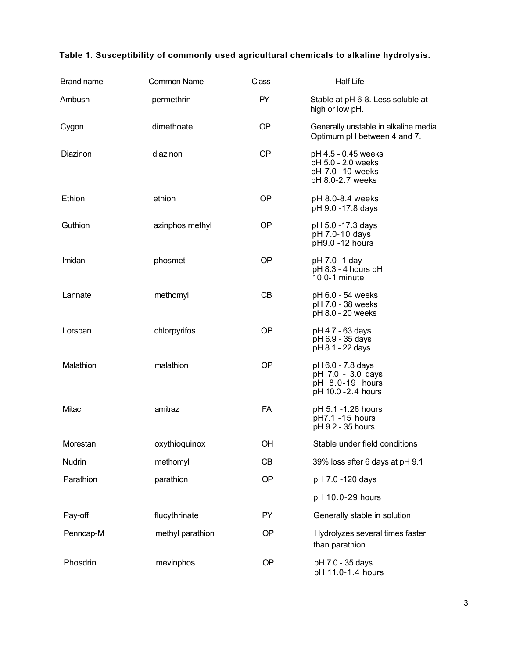| <b>Brand name</b> | <b>Common Name</b> | <b>Class</b> | <b>Half Life</b>                                                                  |
|-------------------|--------------------|--------------|-----------------------------------------------------------------------------------|
| Ambush            | permethrin         | PY           | Stable at pH 6-8. Less soluble at<br>high or low pH.                              |
| Cygon             | dimethoate         | <b>OP</b>    | Generally unstable in alkaline media.<br>Optimum pH between 4 and 7.              |
| Diazinon          | diazinon           | <b>OP</b>    | pH 4.5 - 0.45 weeks<br>pH 5.0 - 2.0 weeks<br>pH 7.0 -10 weeks<br>pH 8.0-2.7 weeks |
| Ethion            | ethion             | OP           | pH 8.0-8.4 weeks<br>pH 9.0 -17.8 days                                             |
| Guthion           | azinphos methyl    | <b>OP</b>    | pH 5.0 -17.3 days<br>pH 7.0-10 days<br>pH9.0 -12 hours                            |
| Imidan            | phosmet            | <b>OP</b>    | pH 7.0 -1 day<br>pH 8.3 - 4 hours pH<br>10.0-1 minute                             |
| Lannate           | methomyl           | CB           | pH 6.0 - 54 weeks<br>pH 7.0 - 38 weeks<br>pH 8.0 - 20 weeks                       |
| Lorsban           | chlorpyrifos       | OP           | pH 4.7 - 63 days<br>pH 6.9 - 35 days<br>pH 8.1 - 22 days                          |
| Malathion         | malathion          | <b>OP</b>    | pH 6.0 - 7.8 days<br>pH 7.0 - 3.0 days<br>pH 8.0-19 hours<br>pH 10.0 - 2.4 hours  |
| Mitac             | amitraz            | <b>FA</b>    | pH 5.1 -1.26 hours<br>pH7.1 -15 hours<br>pH 9.2 - 35 hours                        |
| Morestan          | oxythioquinox      | OH           | Stable under field conditions                                                     |
| Nudrin            | methomyl           | CB           | 39% loss after 6 days at pH 9.1                                                   |
| Parathion         | parathion          | OP           | pH 7.0 -120 days                                                                  |
|                   |                    |              | pH 10.0-29 hours                                                                  |
| Pay-off           | flucythrinate      | PY           | Generally stable in solution                                                      |
| Penncap-M         | methyl parathion   | OP           | Hydrolyzes several times faster<br>than parathion                                 |
| Phosdrin          | mevinphos          | OP           | pH 7.0 - 35 days<br>pH 11.0-1.4 hours                                             |

### **Table 1. Susceptibility of commonly used agricultural chemicals to alkaline hydrolysis.**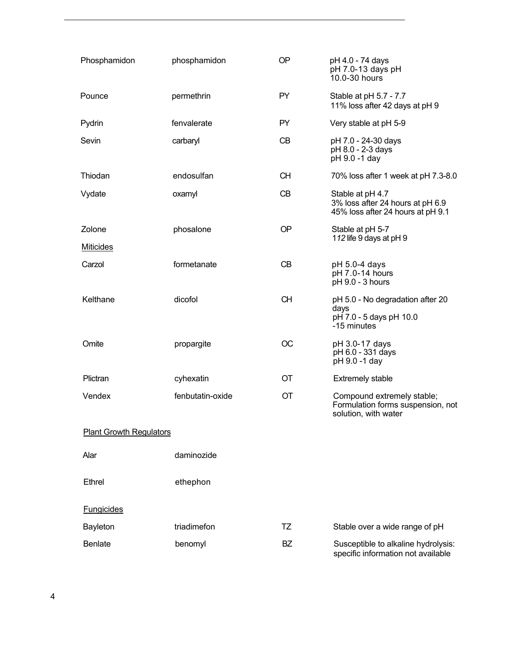| Phosphamidon                   | phosphamidon     | <b>OP</b> | pH 4.0 - 74 days<br>pH 7.0-13 days pH<br>10.0-30 hours                                    |  |  |
|--------------------------------|------------------|-----------|-------------------------------------------------------------------------------------------|--|--|
| Pounce                         | permethrin       | PY.       | Stable at pH 5.7 - 7.7<br>11% loss after 42 days at pH 9                                  |  |  |
| Pydrin                         | fenvalerate      | PY        | Very stable at pH 5-9                                                                     |  |  |
| Sevin                          | carbaryl         | CB        | pH 7.0 - 24-30 days<br>pH 8.0 - 2-3 days<br>pH 9.0 -1 day                                 |  |  |
| Thiodan                        | endosulfan       | <b>CH</b> | 70% loss after 1 week at pH 7.3-8.0                                                       |  |  |
| Vydate                         | oxamyl           | CB        | Stable at pH 4.7<br>3% loss after 24 hours at pH 6.9<br>45% loss after 24 hours at pH 9.1 |  |  |
| Zolone                         | phosalone        | <b>OP</b> | Stable at pH 5-7                                                                          |  |  |
| <b>Miticides</b>               |                  |           | 112 life 9 days at pH 9                                                                   |  |  |
| Carzol                         | formetanate      | CB        | pH 5.0-4 days<br>pH 7.0-14 hours<br>pH 9.0 - 3 hours                                      |  |  |
| Kelthane                       | dicofol          | <b>CH</b> | pH 5.0 - No degradation after 20<br>days<br>pH 7.0 - 5 days pH 10.0<br>-15 minutes        |  |  |
| Omite                          | propargite       | OС        | pH 3.0-17 days<br>pH 6.0 - 331 days<br>pH 9.0 -1 day                                      |  |  |
| Plictran                       | cyhexatin        | ОT        | <b>Extremely stable</b>                                                                   |  |  |
| Vendex                         | fenbutatin-oxide | OT        | Compound extremely stable;<br>Formulation forms suspension, not<br>solution, with water   |  |  |
| <b>Plant Growth Regulators</b> |                  |           |                                                                                           |  |  |
| Alar                           | daminozide       |           |                                                                                           |  |  |
| <b>Ethrel</b>                  | ethephon         |           |                                                                                           |  |  |
| <b>Fungicides</b>              |                  |           |                                                                                           |  |  |
| <b>Bayleton</b>                | triadimefon      | TZ        | Stable over a wide range of pH                                                            |  |  |
| <b>Benlate</b>                 | benomyl          | <b>BZ</b> | Susceptible to alkaline hydrolysis:<br>specific information not available                 |  |  |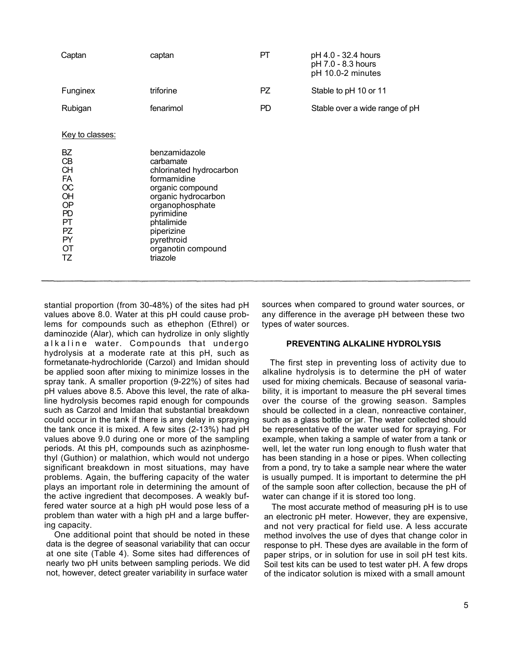| Captan                                                                                                       | captan                                                                                                                                                                                                                       | PT. | pH 4.0 - 32.4 hours<br>pH 7.0 - 8.3 hours<br>pH 10.0-2 minutes |
|--------------------------------------------------------------------------------------------------------------|------------------------------------------------------------------------------------------------------------------------------------------------------------------------------------------------------------------------------|-----|----------------------------------------------------------------|
| Funginex                                                                                                     | triforine                                                                                                                                                                                                                    | PZ. | Stable to pH 10 or 11                                          |
| Rubigan                                                                                                      | fenarimol                                                                                                                                                                                                                    | PD  | Stable over a wide range of pH                                 |
| Key to classes:<br>BZ<br>CB<br><b>CH</b><br>FA<br>OC<br>OH<br>OP<br>PD<br>PT<br>PZ.<br><b>PY</b><br>ОT<br>TZ | benzamidazole<br>carbamate<br>chlorinated hydrocarbon<br>formamidine<br>organic compound<br>organic hydrocarbon<br>organophosphate<br>pyrimidine<br>phtalimide<br>piperizine<br>pyrethroid<br>organotin compound<br>triazole |     |                                                                |

stantial proportion (from 30-48%) of the sites had pH values above 8.0. Water at this pH could cause problems for compounds such as ethephon (Ethrel) or daminozide (Alar), which can hydrolize in only slightly alkaline water. Compounds that undergo hydrolysis at a moderate rate at this pH, such as formetanate-hydrochloride (Carzol) and Imidan should be applied soon after mixing to minimize losses in the spray tank. A smaller proportion (9-22%) of sites had pH values above 8.5. Above this level, the rate of alkaline hydrolysis becomes rapid enough for compounds such as Carzol and Imidan that substantial breakdown could occur in the tank if there is any delay in spraying the tank once it is mixed. A few sites (2-13%) had pH values above 9.0 during one or more of the sampling periods. At this pH, compounds such as azinphosmethyl (Guthion) or malathion, which would not undergo significant breakdown in most situations, may have problems. Again, the buffering capacity of the water plays an important role in determining the amount of the active ingredient that decomposes. A weakly buffered water source at a high pH would pose less of a problem than water with a high pH and a large buffering capacity.

One additional point that should be noted in these data is the degree of seasonal variability that can occur at one site (Table 4). Some sites had differences of nearly two pH units between sampling periods. We did not, however, detect greater variability in surface water

sources when compared to ground water sources, or any difference in the average pH between these two types of water sources.

#### **PREVENTING ALKALINE HYDROLYSIS**

The first step in preventing loss of activity due to alkaline hydrolysis is to determine the pH of water used for mixing chemicals. Because of seasonal variability, it is important to measure the pH several times over the course of the growing season. Samples should be collected in a clean, nonreactive container, such as a glass bottle or jar. The water collected should be representative of the water used for spraying. For example, when taking a sample of water from a tank or well, let the water run long enough to flush water that has been standing in a hose or pipes. When collecting from a pond, try to take a sample near where the water is usually pumped. It is important to determine the pH of the sample soon after collection, because the pH of water can change if it is stored too long.

The most accurate method of measuring pH is to use an electronic pH meter. However, they are expensive, and not very practical for field use. A less accurate method involves the use of dyes that change color in response to pH. These dyes are available in the form of paper strips, or in solution for use in soil pH test kits. Soil test kits can be used to test water pH. A few drops of the indicator solution is mixed with a small amount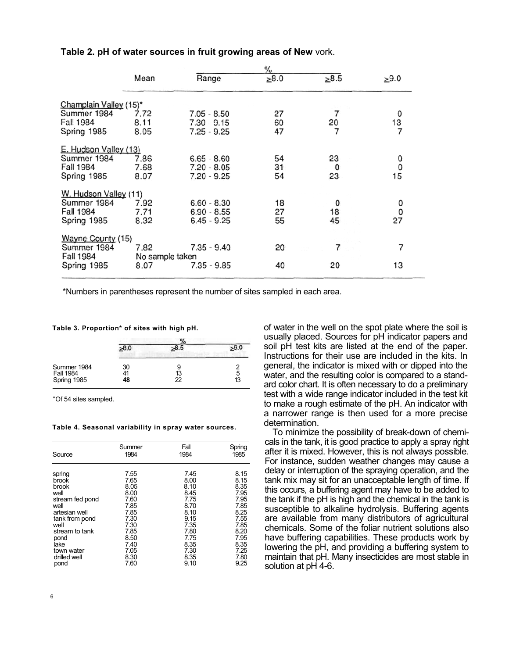|                        | $\frac{9}{6}$   |               |            |      |            |
|------------------------|-----------------|---------------|------------|------|------------|
|                        | Mean            | Range         | $\geq 8.0$ | >8.5 | $\geq 9.0$ |
| Champlain Valley (15)* |                 |               |            |      |            |
| Summer 1984            | 7.72            | $7.05 - 8.50$ | 27         | 7    | 0          |
| Fall 1984              | 8.11            | $7.30 - 9.15$ | 60         | 20   | 13         |
| Spring 1985            | 8.05            | $7.25 - 9.25$ | 47         | 7    | 7          |
| E. Hudson Valley (13)  |                 |               |            |      |            |
| Summer 1984            | 7.86            | $6.65 - 8.60$ | 54         | 23   | 0          |
| Fall 1984              | 7.68            | 7.20 - 8.05   | 31         | 0    | 0          |
| Spring 1985            | 8.07            | 7.20 - 9.25   | 54         | 23   | 15         |
| W. Hudson Valley (11)  |                 |               |            |      |            |
| Summer 1984            | 7.92            | $6.60 - 8.30$ | 18         | 0    | 0          |
| <b>Fall 1984</b>       | 7.71            | $6.90 - 8.55$ | 27         | 18   | 0          |
| Spring 1985            | 8.32            | $6.45 - 9.25$ | 55         | 45   | 27         |
|                        |                 |               |            |      |            |
| Wayne County (15)      |                 |               |            |      |            |
| Summer 1984            | 7.82            | $7.35 - 9.40$ | 20         | 7    | 7          |
| <b>Fall 1984</b>       | No sample taken |               |            |      |            |
| Spring 1985            | 8.07            | $7.35 - 9.85$ | 40         | 20   | 13         |
|                        |                 |               |            |      |            |

#### **Table 2. pH of water sources in fruit growing areas of New** vork.

\*Numbers in parentheses represent the number of sites sampled in each area.

**Table 3. Proportion\* of sites with high pH.**

| Summer 1984<br><b>Fall 1984</b> | 30<br>41 | 13 | Ω<br>5 |  |
|---------------------------------|----------|----|--------|--|
| Spring 1985                     | 48       | 22 | 13     |  |

"Of 54 sites sampled.

#### **Table 4. Seasonal variability in spray water sources.**

| Source          | Summer | Fall | Spring |
|-----------------|--------|------|--------|
|                 | 1984   | 1984 | 1985   |
| spring          | 7.55   | 7.45 | 8.15   |
| brook           | 7.65   | 8.00 | 8.15   |
| brook           | 8.05   | 8.10 | 8.35   |
| well            | 8.00   | 8.45 | 7.95   |
| stream fed pond | 7.60   | 7.75 | 7.95   |
| well            | 7.85   | 8.70 | 7.85   |
| artesian well   | 7.85   | 8.10 | 8.25   |
| tank from pond  | 7.30   | 9.15 | 7.55   |
| well            | 7.30   | 7.35 | 7.85   |
| stream to tank  | 7.85   | 7.80 | 8.20   |
| pond            | 8.50   | 7.75 | 7.95   |
| lake            | 7.40   | 8.35 | 8.35   |
| town water      | 7.05   | 7.30 | 7.25   |
| drilled well    | 8.30   | 8.35 | 7.80   |
| pond            | 7.60   | 9.10 | 9.25   |

of water in the well on the spot plate where the soil is usually placed. Sources for pH indicator papers and soil pH test kits are listed at the end of the paper. Instructions for their use are included in the kits. In general, the indicator is mixed with or dipped into the water, and the resulting color is compared to a standard color chart. It is often necessary to do a preliminary test with a wide range indicator included in the test kit to make a rough estimate of the pH. An indicator with a narrower range is then used for a more precise determination.

To minimize the possibility of break-down of chemicals in the tank, it is good practice to apply a spray right after it is mixed. However, this is not always possible. For instance, sudden weather changes may cause a delay or interruption of the spraying operation, and the tank mix may sit for an unacceptable length of time. If this occurs, a buffering agent may have to be added to the tank if the pH is high and the chemical in the tank is susceptible to alkaline hydrolysis. Buffering agents are available from many distributors of agricultural chemicals. Some of the foliar nutrient solutions also have buffering capabilities. These products work by lowering the pH, and providing a buffering system to maintain that pH. Many insecticides are most stable in solution at pH 4-6.